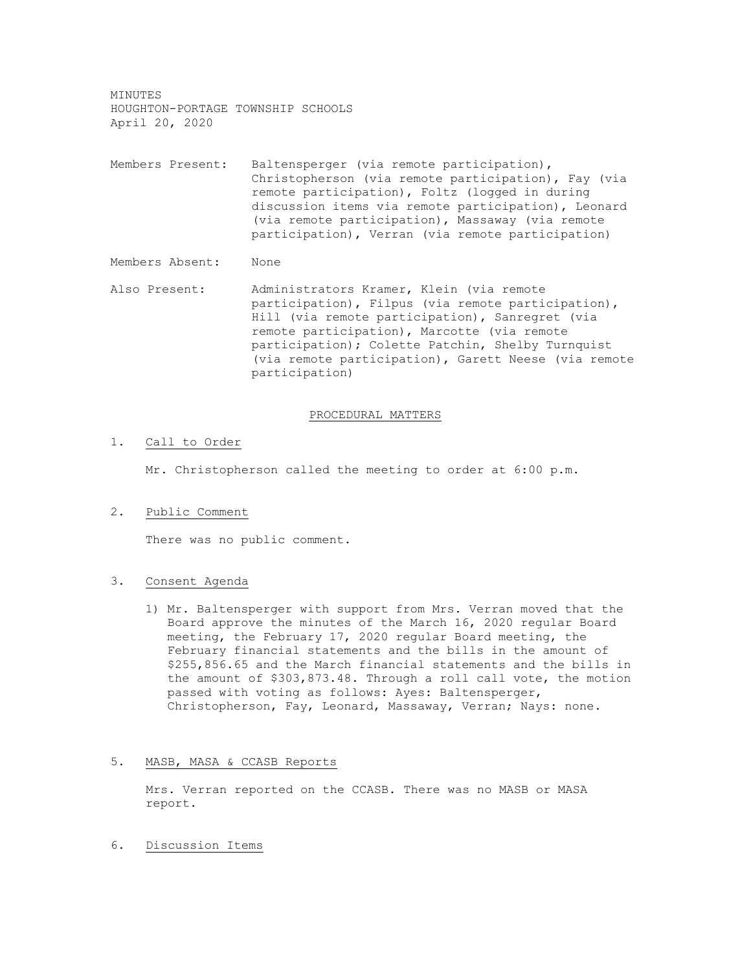MINUTES HOUGHTON-PORTAGE TOWNSHIP SCHOOLS April 20, 2020

Members Present: Baltensperger (via remote participation), Christopherson (via remote participation), Fay (via remote participation), Foltz (logged in during discussion items via remote participation), Leonard (via remote participation), Massaway (via remote participation), Verran (via remote participation)

Members Absent: None

Also Present: Administrators Kramer, Klein (via remote participation), Filpus (via remote participation), Hill (via remote participation), Sanregret (via remote participation), Marcotte (via remote participation); Colette Patchin, Shelby Turnquist (via remote participation), Garett Neese (via remote participation)

## PROCEDURAL MATTERS

## 1. Call to Order

Mr. Christopherson called the meeting to order at 6:00 p.m.

2. Public Comment

There was no public comment.

## 3. Consent Agenda

1) Mr. Baltensperger with support from Mrs. Verran moved that the Board approve the minutes of the March 16, 2020 regular Board meeting, the February 17, 2020 regular Board meeting, the February financial statements and the bills in the amount of \$255,856.65 and the March financial statements and the bills in the amount of \$303,873.48. Through a roll call vote, the motion passed with voting as follows: Ayes: Baltensperger, Christopherson, Fay, Leonard, Massaway, Verran; Nays: none.

## 5. MASB, MASA & CCASB Reports

Mrs. Verran reported on the CCASB. There was no MASB or MASA report.

6. Discussion Items